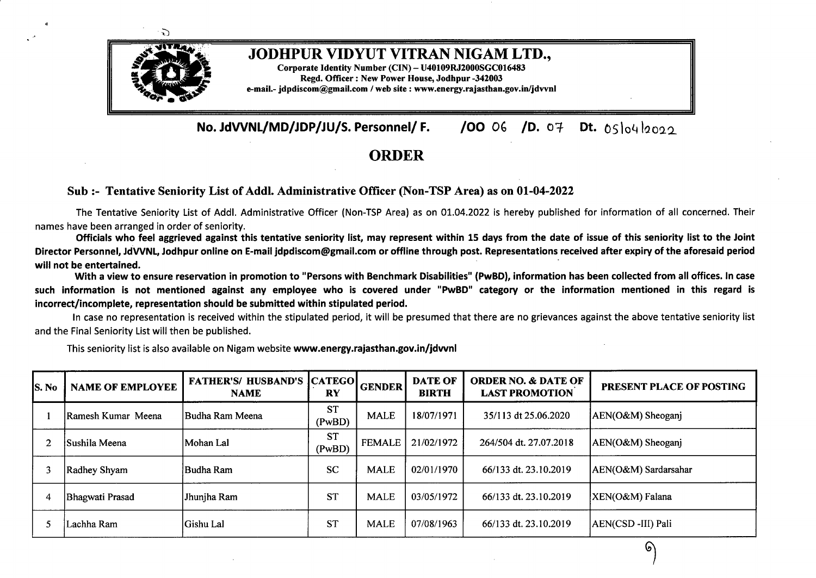

## JODHPUR VIDYUT VITRAN NIGAM LTD.,

Corporate Identity Number (CIN) - U40109RJ2000SGC016483 Regd. Officer: New Power House, Jodhpur -342003 e-mail.- jdpdiscom@gmail.com / web site : www.energy.rajasthan.gov.in/jdvvnl

**No. JdWNL/MD/JDP/JU/S. Personnel/ F. /OO** *O* **/D.** 0¥ **Dt.** 05lo4la022

## **ORDER**

## **Sub:- Tentative Seniority List ofAddi. Administrative Officer (Non-TSP Area) as on 01-04-2022**

The Tentative Seniority List of Addi. Administrative Officer (Non-TSP Area) as on 01.04.2022 is hereby published for information of all concerned. Their names have been arranged in order of seniority.

Officials who feel aggrieved against this tentative seniority list, may represent within 15 days from the date of issue of this seniority list to the Joint Director Personnel, JdVVNL, Jodhpur online on E-mail idpdiscom@gmail.com or offline through post. Representations received after expiry of the aforesaid period **will not be entertained. ·** With <sup>a</sup> view to ensure reservation in promotion to "Persons with Benchmark Disabilities" **(PwBD),** information has been collected from all offices. In case

such information is not mentioned against any employee who is covered under "PwBD" category or the information mentioned in this regard is **incorrect/incomplete, representation should be submitted within stipulated period.**

In case no representation is received within the stipulated period, it will be presumed that there are no grievances against the above tentative seniority list and the Final Seniority List will then be published.

This seniority list is also available on Nigam website **www.energy.rajasthan.gov.in/jdvvnl**

| <b>S.</b> No | <b>NAME OF EMPLOYEE</b> | <b>FATHER'S/ HUSBAND'S</b><br><b>NAME</b> | <b>CATEGO</b><br>RY | <b>GENDER</b> | <b>DATE OF</b><br><b>BIRTH</b> | <b>ORDER NO. &amp; DATE OF</b><br><b>LAST PROMOTION</b> | PRESENT PLACE OF POSTING |
|--------------|-------------------------|-------------------------------------------|---------------------|---------------|--------------------------------|---------------------------------------------------------|--------------------------|
|              | Ramesh Kumar Meena      | IBudha Ram Meena                          | <b>ST</b><br>(PwBD) | <b>MALE</b>   | 18/07/1971                     | 35/113 dt 25.06.2020                                    | AEN(O&M) Sheoganj        |
|              | lSushila Meena          | Mohan Lal                                 | <b>ST</b><br>(PwBD) | <b>FEMALE</b> | 21/02/1972                     | 264/504 dt. 27.07.2018                                  | AEN(O&M) Sheoganj        |
|              | Radhey Shyam            | Budha Ram                                 | <b>SC</b>           | <b>MALE</b>   | 02/01/1970                     | 66/133 dt. 23.10.2019                                   | AEN(O&M) Sardarsahar     |
|              | Bhagwati Prasad         | Jhunjha Ram                               | <b>ST</b>           | <b>MALE</b>   | 03/05/1972                     | 66/133 dt. 23.10.2019                                   | XEN(O&M) Falana          |
|              | Lachha Ram              | Gishu Lal                                 | <b>ST</b>           | <b>MALE</b>   | 07/08/1963                     | 66/133 dt. 23.10.2019                                   | AEN(CSD-III) Pali        |

ତ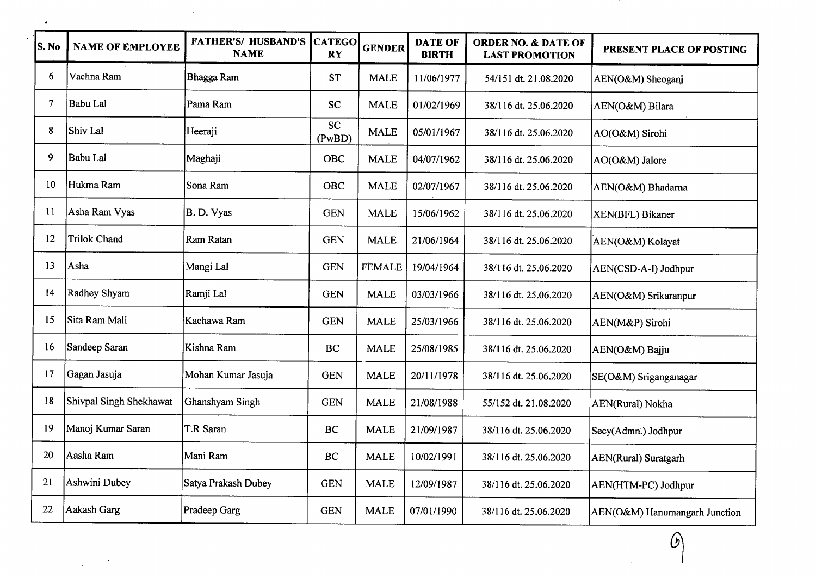| S. No | <b>NAME OF EMPLOYEE</b> | <b>FATHER'S/ HUSBAND'S</b><br><b>NAME</b> | <b>CATEGO</b><br><b>RY</b> | <b>GENDER</b> | <b>DATE OF</b><br><b>BIRTH</b> | <b>ORDER NO. &amp; DATE OF</b><br><b>LAST PROMOTION</b> | PRESENT PLACE OF POSTING      |
|-------|-------------------------|-------------------------------------------|----------------------------|---------------|--------------------------------|---------------------------------------------------------|-------------------------------|
| 6     | Vachna Ram              | Bhagga Ram                                | <b>ST</b>                  | <b>MALE</b>   | 11/06/1977                     | 54/151 dt. 21.08.2020                                   | AEN(O&M) Sheoganj             |
| 7     | Babu Lal                | Pama Ram                                  | <b>SC</b>                  | <b>MALE</b>   | 01/02/1969                     | 38/116 dt. 25.06.2020                                   | AEN(O&M) Bilara               |
| 8     | Shiv Lal                | Heeraji                                   | <b>SC</b><br>(PwBD)        | <b>MALE</b>   | 05/01/1967                     | 38/116 dt. 25.06.2020                                   | AO(O&M) Sirohi                |
| 9     | Babu Lal                | Maghaji                                   | <b>OBC</b>                 | <b>MALE</b>   | 04/07/1962                     | 38/116 dt. 25.06.2020                                   | AO(O&M) Jalore                |
| 10    | Hukma Ram               | Sona Ram                                  | OBC                        | <b>MALE</b>   | 02/07/1967                     | 38/116 dt. 25.06.2020                                   | AEN(O&M) Bhadarna             |
| 11    | Asha Ram Vyas           | B. D. Vyas                                | <b>GEN</b>                 | <b>MALE</b>   | 15/06/1962                     | 38/116 dt. 25.06.2020                                   | XEN(BFL) Bikaner              |
| 12    | <b>Trilok Chand</b>     | Ram Ratan                                 | <b>GEN</b>                 | <b>MALE</b>   | 21/06/1964                     | 38/116 dt. 25.06.2020                                   | AEN(O&M) Kolayat              |
| 13    | Asha                    | Mangi Lal                                 | <b>GEN</b>                 | <b>FEMALE</b> | 19/04/1964                     | 38/116 dt. 25.06.2020                                   | AEN(CSD-A-I) Jodhpur          |
| 14    | Radhey Shyam            | Ramji Lal                                 | <b>GEN</b>                 | <b>MALE</b>   | 03/03/1966                     | 38/116 dt. 25.06.2020                                   | AEN(O&M) Srikaranpur          |
| 15    | Sita Ram Mali           | Kachawa Ram                               | <b>GEN</b>                 | <b>MALE</b>   | 25/03/1966                     | 38/116 dt. 25.06.2020                                   | AEN(M&P) Sirohi               |
| 16    | Sandeep Saran           | Kishna Ram                                | <b>BC</b>                  | <b>MALE</b>   | 25/08/1985                     | 38/116 dt. 25.06.2020                                   | AEN(O&M) Bajju                |
| 17    | Gagan Jasuja            | Mohan Kumar Jasuja                        | <b>GEN</b>                 | <b>MALE</b>   | 20/11/1978                     | 38/116 dt. 25.06.2020                                   | SE(O&M) Sriganganagar         |
| 18    | Shivpal Singh Shekhawat | Ghanshyam Singh                           | <b>GEN</b>                 | <b>MALE</b>   | 21/08/1988                     | 55/152 dt. 21.08.2020                                   | AEN(Rural) Nokha              |
| 19    | Manoj Kumar Saran       | T.R Saran                                 | BC                         | <b>MALE</b>   | 21/09/1987                     | 38/116 dt. 25.06.2020                                   | Secy(Admn.) Jodhpur           |
| 20    | Aasha Ram               | Mani Ram                                  | BC                         | <b>MALE</b>   | 10/02/1991                     | 38/116 dt. 25.06.2020                                   | <b>AEN(Rural)</b> Suratgarh   |
| 21    | Ashwini Dubey           | Satya Prakash Dubey                       | <b>GEN</b>                 | <b>MALE</b>   | 12/09/1987                     | 38/116 dt. 25.06.2020                                   | AEN(HTM-PC) Jodhpur           |
| 22    | Aakash Garg             | Pradeep Garg                              | <b>GEN</b>                 | <b>MALE</b>   | 07/01/1990                     | 38/116 dt. 25.06.2020                                   | AEN(O&M) Hanumangarh Junction |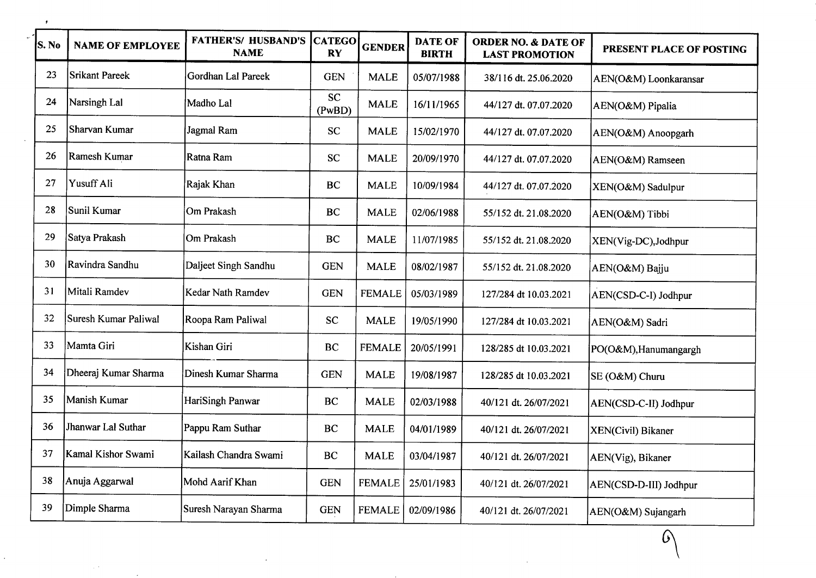| S. No | <b>NAME OF EMPLOYEE</b> | <b>FATHER'S/ HUSBAND'S</b><br><b>NAME</b> | <b>CATEGO</b><br><b>RY</b> | <b>GENDER</b> | <b>DATE OF</b><br><b>BIRTH</b> | <b>ORDER NO. &amp; DATE OF</b><br><b>LAST PROMOTION</b> | PRESENT PLACE OF POSTING |
|-------|-------------------------|-------------------------------------------|----------------------------|---------------|--------------------------------|---------------------------------------------------------|--------------------------|
| 23    | <b>Srikant Pareek</b>   | Gordhan Lal Pareek                        | <b>GEN</b>                 | <b>MALE</b>   | 05/07/1988                     | 38/116 dt. 25.06.2020                                   | AEN(O&M) Loonkaransar    |
| 24    | Narsingh Lal            | Madho Lal                                 | <b>SC</b><br>(PwBD)        | <b>MALE</b>   | 16/11/1965                     | 44/127 dt. 07.07.2020                                   | AEN(O&M) Pipalia         |
| 25    | Sharvan Kumar           | Jagmal Ram                                | <b>SC</b>                  | <b>MALE</b>   | 15/02/1970                     | 44/127 dt. 07.07.2020                                   | AEN(O&M) Anoopgarh       |
| 26    | Ramesh Kumar            | Ratna Ram                                 | <b>SC</b>                  | <b>MALE</b>   | 20/09/1970                     | 44/127 dt. 07.07.2020                                   | AEN(O&M) Ramseen         |
| 27    | Yusuff Ali              | Rajak Khan                                | <b>BC</b>                  | <b>MALE</b>   | 10/09/1984                     | 44/127 dt. 07.07.2020                                   | XEN(O&M) Sadulpur        |
| 28    | Sunil Kumar             | Om Prakash                                | <b>BC</b>                  | <b>MALE</b>   | 02/06/1988                     | 55/152 dt. 21.08.2020                                   | AEN(O&M) Tibbi           |
| 29    | Satya Prakash           | Om Prakash                                | <b>BC</b>                  | <b>MALE</b>   | 11/07/1985                     | 55/152 dt. 21.08.2020                                   | XEN(Vig-DC), Jodhpur     |
| 30    | Ravindra Sandhu         | Daljeet Singh Sandhu                      | <b>GEN</b>                 | <b>MALE</b>   | 08/02/1987                     | 55/152 dt. 21.08.2020                                   | AEN(O&M) Bajju           |
| 31    | Mitali Ramdev           | Kedar Nath Ramdev                         | <b>GEN</b>                 | <b>FEMALE</b> | 05/03/1989                     | 127/284 dt 10.03.2021                                   | AEN(CSD-C-I) Jodhpur     |
| 32    | Suresh Kumar Paliwal    | Roopa Ram Paliwal                         | <b>SC</b>                  | <b>MALE</b>   | 19/05/1990                     | 127/284 dt 10.03.2021                                   | AEN(O&M) Sadri           |
| 33    | Mamta Giri              | Kishan Giri                               | <b>BC</b>                  | <b>FEMALE</b> | 20/05/1991                     | 128/285 dt 10.03.2021                                   | PO(O&M), Hanumangargh    |
| 34    | Dheeraj Kumar Sharma    | Dinesh Kumar Sharma                       | <b>GEN</b>                 | <b>MALE</b>   | 19/08/1987                     | 128/285 dt 10.03.2021                                   | SE (O&M) Churu           |
| 35    | Manish Kumar            | HariSingh Panwar                          | BC                         | <b>MALE</b>   | 02/03/1988                     | 40/121 dt. 26/07/2021                                   | AEN(CSD-C-II) Jodhpur    |
| 36    | Jhanwar Lal Suthar      | Pappu Ram Suthar                          | <b>BC</b>                  | <b>MALE</b>   | 04/01/1989                     | 40/121 dt. 26/07/2021                                   | XEN(Civil) Bikaner       |
| 37    | Kamal Kishor Swami      | Kailash Chandra Swami                     | <b>BC</b>                  | <b>MALE</b>   | 03/04/1987                     | 40/121 dt. 26/07/2021                                   | AEN(Vig), Bikaner        |
| 38    | Anuja Aggarwal          | Mohd Aarif Khan                           | <b>GEN</b>                 | <b>FEMALE</b> | 25/01/1983                     | 40/121 dt. 26/07/2021                                   | AEN(CSD-D-III) Jodhpur   |
| 39    | Dimple Sharma           | Suresh Narayan Sharma                     | <b>GEN</b>                 | <b>FEMALE</b> | 02/09/1986                     | 40/121 dt. 26/07/2021                                   | AEN(O&M) Sujangarh       |

 $\Omega$